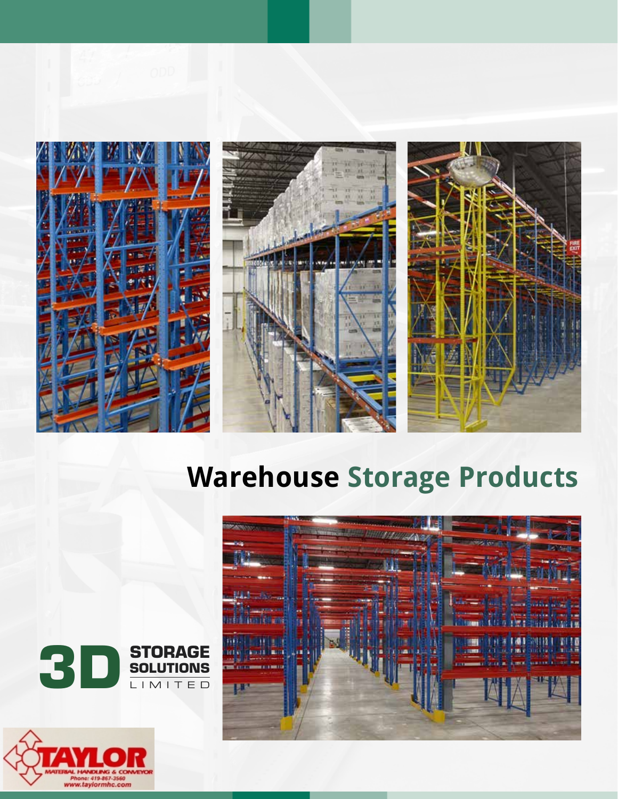





# **Warehouse Storage Products**





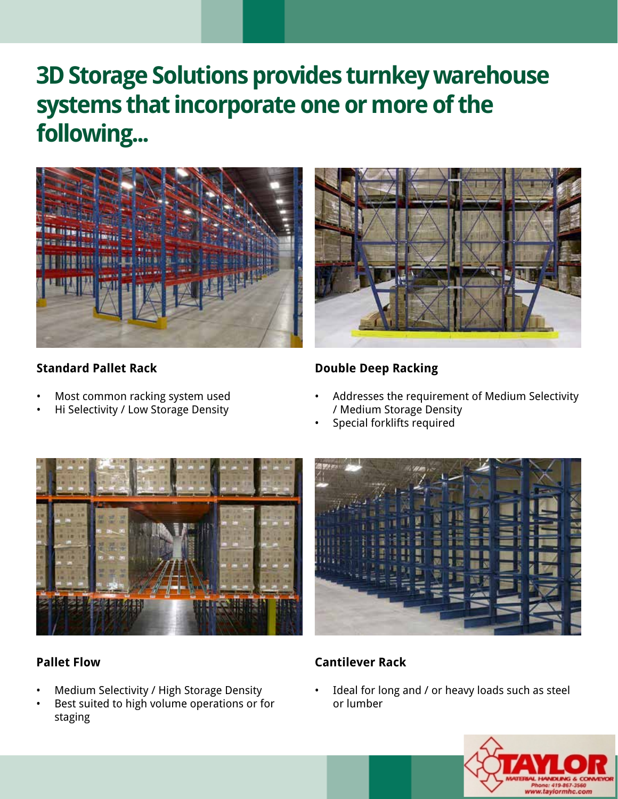## **3D Storage Solutions provides turnkey warehouse systems that incorporate one or more of the following...**



#### **Standard Pallet Rack**

- Most common racking system used
- Hi Selectivity / Low Storage Density



#### **Double Deep Racking**

- Addresses the requirement of Medium Selectivity / Medium Storage Density
- Special forklifts required





#### **Pallet Flow**

- Medium Selectivity / High Storage Density
- Best suited to high volume operations or for staging

#### **Cantilever Rack**

Ideal for long and / or heavy loads such as steel or lumber

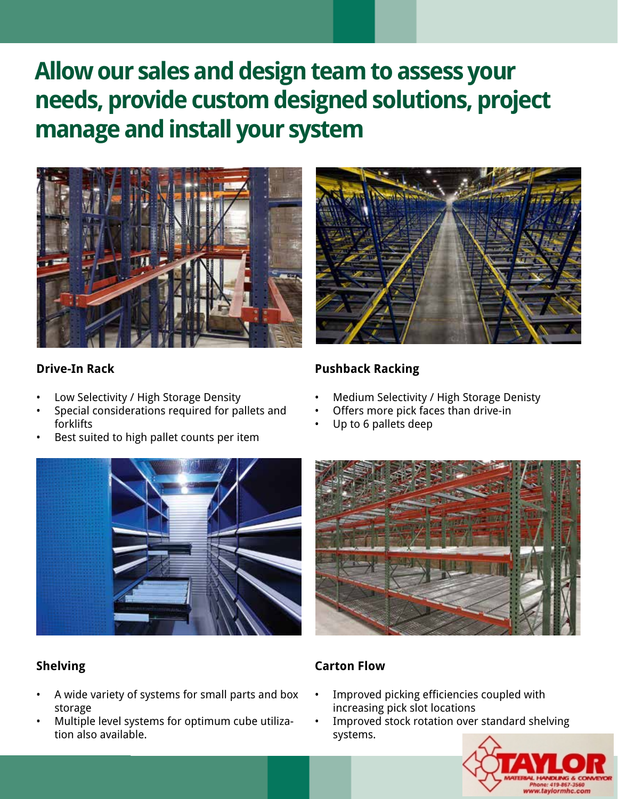### **Allow our sales and design team to assess your needs, provide custom designed solutions, project manage and install your system**



#### **Drive-In Rack**

- Low Selectivity / High Storage Density
- Special considerations required for pallets and forklifts
- Best suited to high pallet counts per item



#### **Shelving**

- A wide variety of systems for small parts and box storage
- Multiple level systems for optimum cube utilization also available.



### **Pushback Racking**

- Medium Selectivity / High Storage Denisty
- Offers more pick faces than drive-in
- Up to 6 pallets deep



#### **Carton Flow**

- Improved picking efficiencies coupled with increasing pick slot locations
- Improved stock rotation over standard shelving systems.